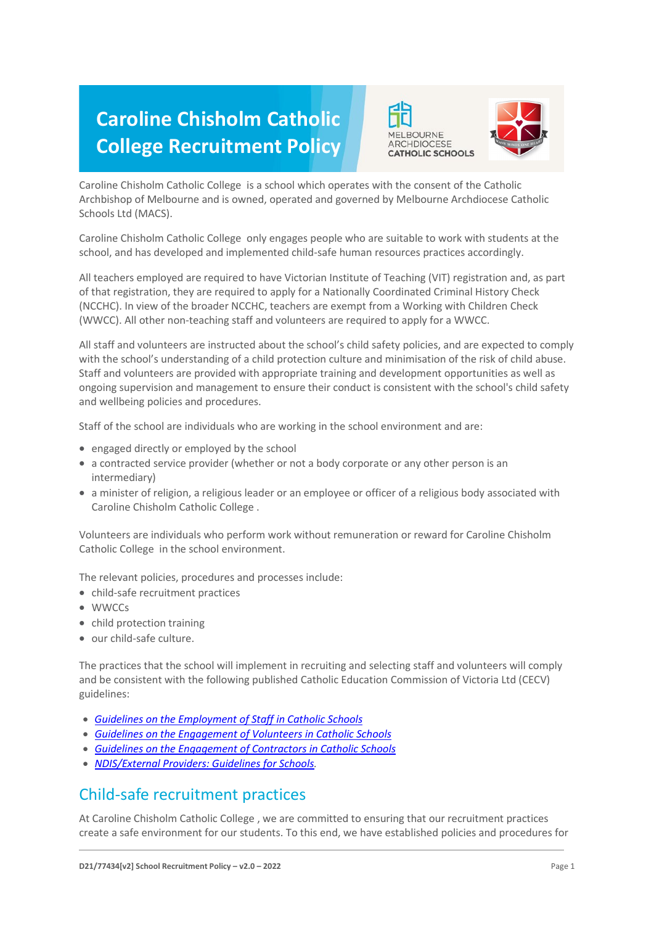# **Caroline Chisholm Catholic College Recruitment Policy**





Caroline Chisholm Catholic College is a school which operates with the consent of the Catholic Archbishop of Melbourne and is owned, operated and governed by Melbourne Archdiocese Catholic Schools Ltd (MACS).

Caroline Chisholm Catholic College only engages people who are suitable to work with students at the school, and has developed and implemented child-safe human resources practices accordingly.

All teachers employed are required to have Victorian Institute of Teaching (VIT) registration and, as part of that registration, they are required to apply for a Nationally Coordinated Criminal History Check (NCCHC). In view of the broader NCCHC, teachers are exempt from a Working with Children Check (WWCC). All other non-teaching staff and volunteers are required to apply for a WWCC.

All staff and volunteers are instructed about the school's child safety policies, and are expected to comply with the school's understanding of a child protection culture and minimisation of the risk of child abuse. Staff and volunteers are provided with appropriate training and development opportunities as well as ongoing supervision and management to ensure their conduct is consistent with the school's child safety and wellbeing policies and procedures.

Staff of the school are individuals who are working in the school environment and are:

- engaged directly or employed by the school
- a contracted service provider (whether or not a body corporate or any other person is an intermediary)
- a minister of religion, a religious leader or an employee or officer of a religious body associated with Caroline Chisholm Catholic College .

Volunteers are individuals who perform work without remuneration or reward for Caroline Chisholm Catholic College in the school environment.

The relevant policies, procedures and processes include:

- child-safe recruitment practices
- WWCCs
- child protection training
- our child-safe culture.

The practices that the school will implement in recruiting and selecting staff and volunteers will comply and be consistent with the following published Catholic Education Commission of Victoria Ltd (CECV) guidelines:

- *[Guidelines on the Employment of Staff in Catholic Schools](https://www.cecv.catholic.edu.au/getmedia/0393d7fb-2fb9-4e48-a05e-56b703dd62eb/Employment-Guidelines.aspx)*
- *[Guidelines on the Engagement of Volunteers in Catholic Schools](https://www.cecv.catholic.edu.au/Media-Files/IR/Policies-Guidelines/Volunteers/Guidelines-on-the-Engagement-of-Volunteers.aspx)*
- *[Guidelines on the Engagement of Contractors in Catholic Schools](https://www.cecv.catholic.edu.au/Media-Files/IR/Policies-Guidelines/Staff,-Contractors,-Volunteers/Contractor-Guidelines.aspx)*
- *[NDIS/External Providers: Guidelines for Schools.](https://www.cecv.catholic.edu.au/getmedia/cec12bdf-5e03-4d3a-ac47-504fe084f415/NDIS-External-Providers-Guidelines.aspx?ext=.pdf)*

## Child-safe recruitment practices

At Caroline Chisholm Catholic College , we are committed to ensuring that our recruitment practices create a safe environment for our students. To this end, we have established policies and procedures for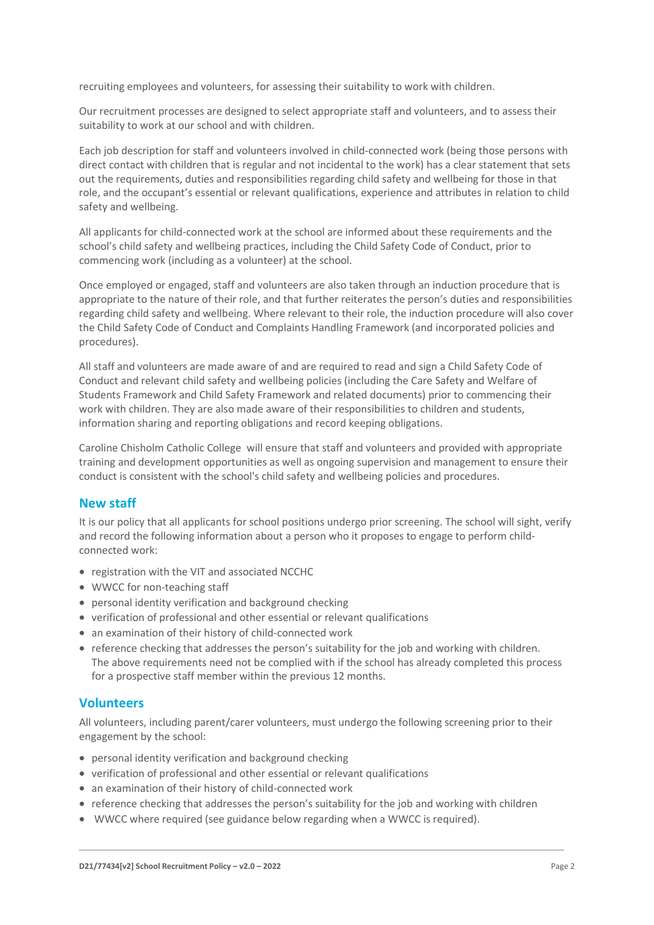recruiting employees and volunteers, for assessing their suitability to work with children.

Our recruitment processes are designed to select appropriate staff and volunteers, and to assess their suitability to work at our school and with children.

Each job description for staff and volunteers involved in child-connected work (being those persons with direct contact with children that is regular and not incidental to the work) has a clear statement that sets out the requirements, duties and responsibilities regarding child safety and wellbeing for those in that role, and the occupant's essential or relevant qualifications, experience and attributes in relation to child safety and wellbeing.

All applicants for child-connected work at the school are informed about these requirements and the school's child safety and wellbeing practices, including the Child Safety Code of Conduct, prior to commencing work (including as a volunteer) at the school.

Once employed or engaged, staff and volunteers are also taken through an induction procedure that is appropriate to the nature of their role, and that further reiterates the person's duties and responsibilities regarding child safety and wellbeing. Where relevant to their role, the induction procedure will also cover the Child Safety Code of Conduct and Complaints Handling Framework (and incorporated policies and procedures).

All staff and volunteers are made aware of and are required to read and sign a Child Safety Code of Conduct and relevant child safety and wellbeing policies (including the Care Safety and Welfare of Students Framework and Child Safety Framework and related documents) prior to commencing their work with children. They are also made aware of their responsibilities to children and students, information sharing and reporting obligations and record keeping obligations.

Caroline Chisholm Catholic College will ensure that staff and volunteers and provided with appropriate training and development opportunities as well as ongoing supervision and management to ensure their conduct is consistent with the school's child safety and wellbeing policies and procedures.

#### **New staff**

It is our policy that all applicants for school positions undergo prior screening. The school will sight, verify and record the following information about a person who it proposes to engage to perform childconnected work:

- registration with the VIT and associated NCCHC
- WWCC for non-teaching staff
- personal identity verification and background checking
- verification of professional and other essential or relevant qualifications
- an examination of their history of child-connected work
- reference checking that addresses the person's suitability for the job and working with children. The above requirements need not be complied with if the school has already completed this process for a prospective staff member within the previous 12 months.

#### **Volunteers**

All volunteers, including parent/carer volunteers, must undergo the following screening prior to their engagement by the school:

- personal identity verification and background checking
- verification of professional and other essential or relevant qualifications
- an examination of their history of child-connected work
- reference checking that addresses the person's suitability for the job and working with children
- WWCC where required (see guidance below regarding when a WWCC is required).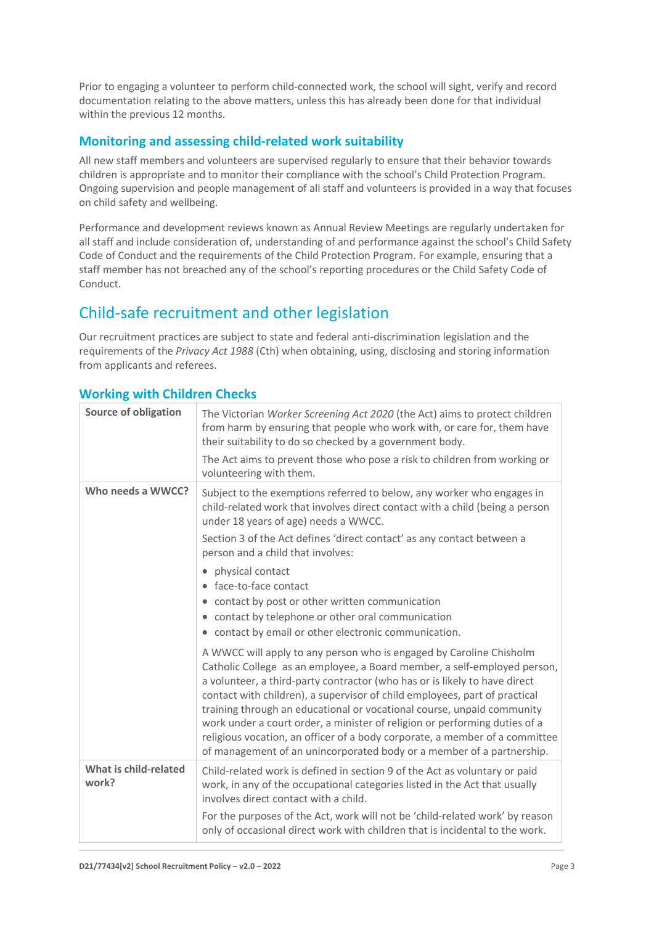Prior to engaging a volunteer to perform child-connected work, the school will sight, verify and record documentation relating to the above matters, unless this has already been done for that individual within the previous 12 months.

### **Monitoring and assessing child-related work suitability**

All new staff members and volunteers are supervised regularly to ensure that their behavior towards children is appropriate and to monitor their compliance with the school's Child Protection Program. Ongoing supervision and people management of all staff and volunteers is provided in a way that focuses on child safety and wellbeing.

Performance and development reviews known as Annual Review Meetings are regularly undertaken for all staff and include consideration of, understanding of and performance against the school's Child Safety Code of Conduct and the requirements of the Child Protection Program. For example, ensuring that a staff member has not breached any of the school's reporting procedures or the Child Safety Code of Conduct.

# Child-safe recruitment and other legislation

Our recruitment practices are subject to state and federal anti-discrimination legislation and the requirements of the *Privacy Act 1988* (Cth) when obtaining, using, disclosing and storing information from applicants and referees.

| <b>Source of obligation</b>    | The Victorian Worker Screening Act 2020 (the Act) aims to protect children<br>from harm by ensuring that people who work with, or care for, them have<br>their suitability to do so checked by a government body.                                                                                                                                                                                                                                                                                                                                                                                                           |
|--------------------------------|-----------------------------------------------------------------------------------------------------------------------------------------------------------------------------------------------------------------------------------------------------------------------------------------------------------------------------------------------------------------------------------------------------------------------------------------------------------------------------------------------------------------------------------------------------------------------------------------------------------------------------|
|                                | The Act aims to prevent those who pose a risk to children from working or<br>volunteering with them.                                                                                                                                                                                                                                                                                                                                                                                                                                                                                                                        |
| Who needs a WWCC?              | Subject to the exemptions referred to below, any worker who engages in<br>child-related work that involves direct contact with a child (being a person<br>under 18 years of age) needs a WWCC.                                                                                                                                                                                                                                                                                                                                                                                                                              |
|                                | Section 3 of the Act defines 'direct contact' as any contact between a<br>person and a child that involves:                                                                                                                                                                                                                                                                                                                                                                                                                                                                                                                 |
|                                | physical contact<br>face-to-face contact                                                                                                                                                                                                                                                                                                                                                                                                                                                                                                                                                                                    |
|                                | contact by post or other written communication<br>contact by telephone or other oral communication<br>۰<br>• contact by email or other electronic communication.                                                                                                                                                                                                                                                                                                                                                                                                                                                            |
|                                | A WWCC will apply to any person who is engaged by Caroline Chisholm<br>Catholic College as an employee, a Board member, a self-employed person,<br>a volunteer, a third-party contractor (who has or is likely to have direct<br>contact with children), a supervisor of child employees, part of practical<br>training through an educational or vocational course, unpaid community<br>work under a court order, a minister of religion or performing duties of a<br>religious vocation, an officer of a body corporate, a member of a committee<br>of management of an unincorporated body or a member of a partnership. |
| What is child-related<br>work? | Child-related work is defined in section 9 of the Act as voluntary or paid<br>work, in any of the occupational categories listed in the Act that usually<br>involves direct contact with a child.                                                                                                                                                                                                                                                                                                                                                                                                                           |
|                                | For the purposes of the Act, work will not be 'child-related work' by reason<br>only of occasional direct work with children that is incidental to the work.                                                                                                                                                                                                                                                                                                                                                                                                                                                                |

## **Working with Children Checks**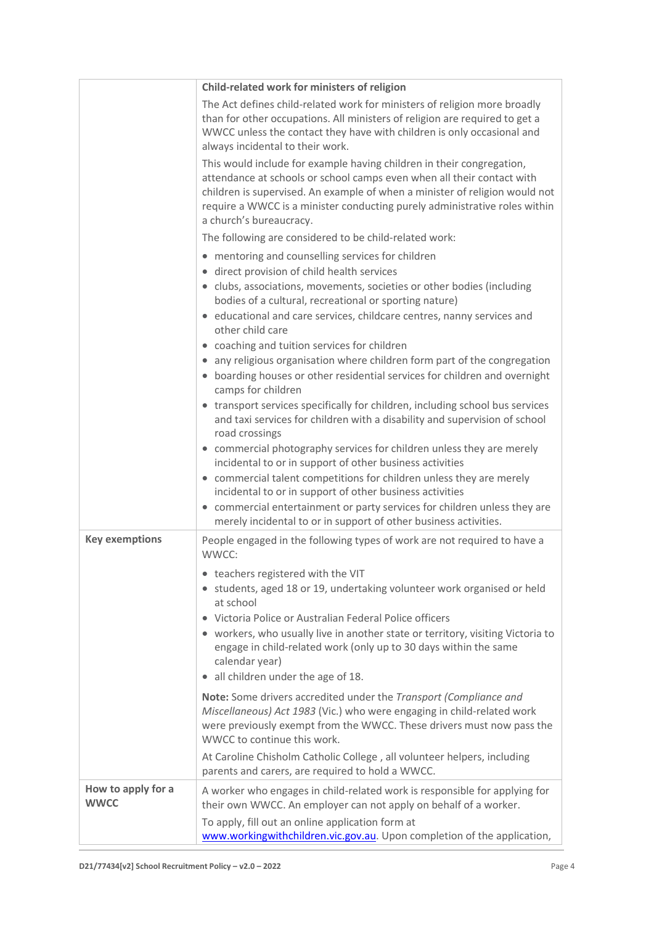|                                   | Child-related work for ministers of religion                                                                                                                                                                                                                                                                                            |
|-----------------------------------|-----------------------------------------------------------------------------------------------------------------------------------------------------------------------------------------------------------------------------------------------------------------------------------------------------------------------------------------|
|                                   | The Act defines child-related work for ministers of religion more broadly<br>than for other occupations. All ministers of religion are required to get a<br>WWCC unless the contact they have with children is only occasional and<br>always incidental to their work.                                                                  |
|                                   | This would include for example having children in their congregation,<br>attendance at schools or school camps even when all their contact with<br>children is supervised. An example of when a minister of religion would not<br>require a WWCC is a minister conducting purely administrative roles within<br>a church's bureaucracy. |
|                                   | The following are considered to be child-related work:                                                                                                                                                                                                                                                                                  |
|                                   | • mentoring and counselling services for children<br>• direct provision of child health services                                                                                                                                                                                                                                        |
|                                   | • clubs, associations, movements, societies or other bodies (including<br>bodies of a cultural, recreational or sporting nature)                                                                                                                                                                                                        |
|                                   | • educational and care services, childcare centres, nanny services and<br>other child care                                                                                                                                                                                                                                              |
|                                   | • coaching and tuition services for children                                                                                                                                                                                                                                                                                            |
|                                   | • any religious organisation where children form part of the congregation<br>• boarding houses or other residential services for children and overnight<br>camps for children                                                                                                                                                           |
|                                   | • transport services specifically for children, including school bus services<br>and taxi services for children with a disability and supervision of school<br>road crossings                                                                                                                                                           |
|                                   | • commercial photography services for children unless they are merely<br>incidental to or in support of other business activities                                                                                                                                                                                                       |
|                                   | • commercial talent competitions for children unless they are merely<br>incidental to or in support of other business activities                                                                                                                                                                                                        |
|                                   | • commercial entertainment or party services for children unless they are<br>merely incidental to or in support of other business activities.                                                                                                                                                                                           |
| <b>Key exemptions</b>             | People engaged in the following types of work are not required to have a<br>WWCC:                                                                                                                                                                                                                                                       |
|                                   | • teachers registered with the VIT                                                                                                                                                                                                                                                                                                      |
|                                   | • students, aged 18 or 19, undertaking volunteer work organised or held<br>at school                                                                                                                                                                                                                                                    |
|                                   | • Victoria Police or Australian Federal Police officers                                                                                                                                                                                                                                                                                 |
|                                   | • workers, who usually live in another state or territory, visiting Victoria to<br>engage in child-related work (only up to 30 days within the same<br>calendar year)                                                                                                                                                                   |
|                                   | all children under the age of 18.                                                                                                                                                                                                                                                                                                       |
|                                   | Note: Some drivers accredited under the Transport (Compliance and<br>Miscellaneous) Act 1983 (Vic.) who were engaging in child-related work<br>were previously exempt from the WWCC. These drivers must now pass the<br>WWCC to continue this work.                                                                                     |
|                                   | At Caroline Chisholm Catholic College, all volunteer helpers, including<br>parents and carers, are required to hold a WWCC.                                                                                                                                                                                                             |
| How to apply for a<br><b>WWCC</b> | A worker who engages in child-related work is responsible for applying for<br>their own WWCC. An employer can not apply on behalf of a worker.<br>To apply, fill out an online application form at                                                                                                                                      |
|                                   | www.workingwithchildren.vic.gov.au. Upon completion of the application,                                                                                                                                                                                                                                                                 |